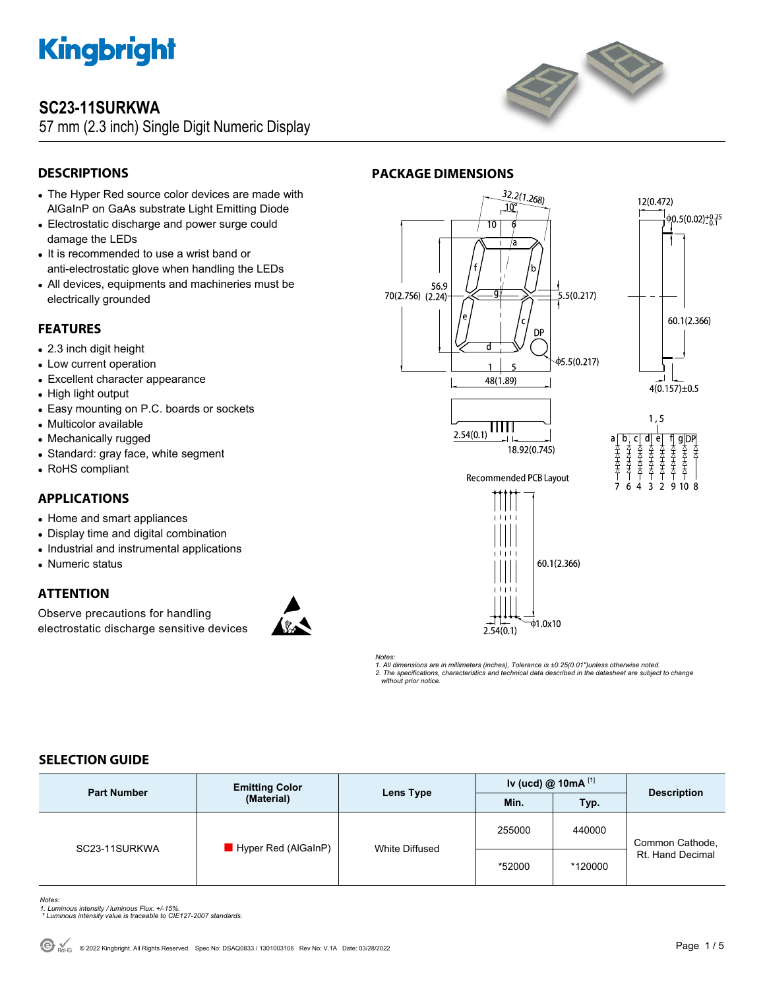

### **SC23-11SURKWA**

57 mm (2.3 inch) Single Digit Numeric Display



### **DESCRIPTIONS**

- The Hyper Red source color devices are made with AlGaInP on GaAs substrate Light Emitting Diode
- Electrostatic discharge and power surge could damage the LEDs
- It is recommended to use a wrist band or anti-electrostatic glove when handling the LEDs
- All devices, equipments and machineries must be electrically grounded

#### **FEATURES**

- 2.3 inch digit height
- Low current operation
- Excellent character appearance
- High light output
- Easy mounting on P.C. boards or sockets
- Multicolor available
- Mechanically rugged
- Standard: gray face, white segment
- RoHS compliant

#### **APPLICATIONS**

- Home and smart appliances
- Display time and digital combination
- Industrial and instrumental applications
- Numeric status

### **ATTENTION**

Observe precautions for handling electrostatic discharge sensitive devices







*Notes: 1. All dimensions are in millimeters (inches), Tolerance is ±0.25(0.01")unless otherwise noted. 2. The specifications, characteristics and technical data described in the datasheet are subject to change without prior notice.* 

### **SELECTION GUIDE**

| <b>Part Number</b> | <b>Emitting Color</b><br>(Material) | Lens Type      | Iv (ucd) $@$ 10mA $^{[1]}$ |         | <b>Description</b>                  |
|--------------------|-------------------------------------|----------------|----------------------------|---------|-------------------------------------|
|                    |                                     |                | Min.                       | Typ.    |                                     |
| SC23-11SURKWA      | Hyper Red (AlGaInP)                 | White Diffused | 255000                     | 440000  | Common Cathode,<br>Rt. Hand Decimal |
|                    |                                     |                | *52000                     | *120000 |                                     |

*Notes:* 

- *1. Luminous intensity / luminous Flux: +/-15%. \* Luminous intensity value is traceable to CIE127-2007 standards.*
-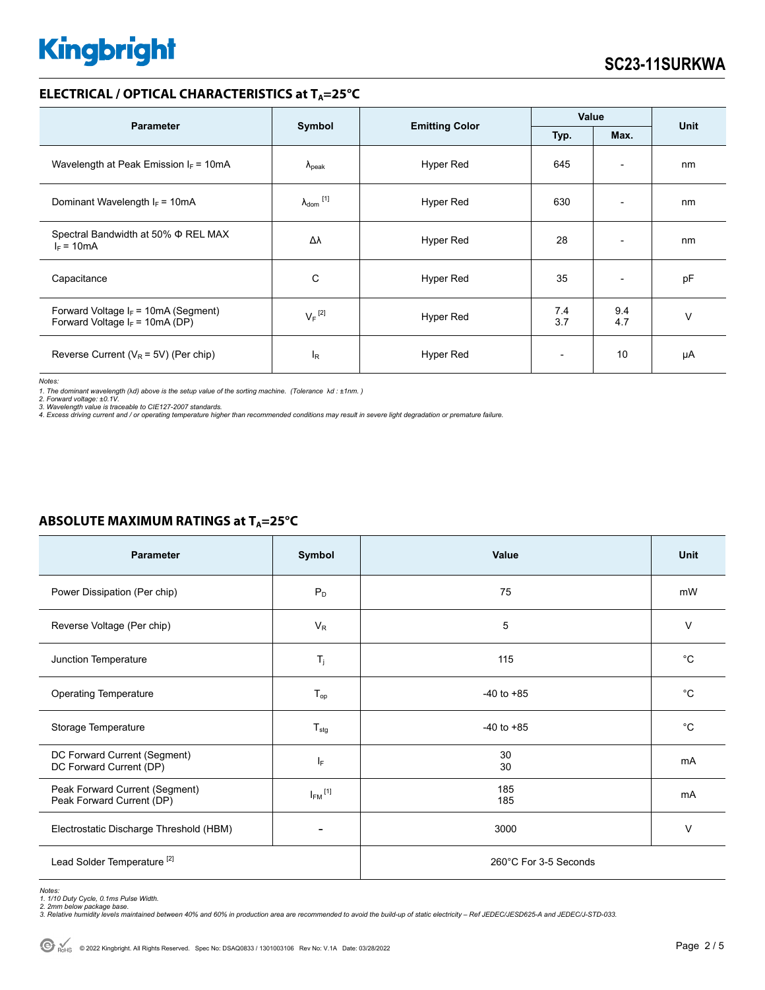#### **ELECTRICAL / OPTICAL CHARACTERISTICS at T<sub>A</sub>=25°C**

|                                                                             | Symbol                     | <b>Emitting Color</b> | Value                    |                          |             |
|-----------------------------------------------------------------------------|----------------------------|-----------------------|--------------------------|--------------------------|-------------|
| <b>Parameter</b>                                                            |                            |                       | Typ.                     | Max.                     | <b>Unit</b> |
| Wavelength at Peak Emission $I_F$ = 10mA                                    | $\Lambda_{\rm peak}$       | Hyper Red             | 645                      | $\overline{\phantom{a}}$ | nm          |
| Dominant Wavelength $I_F = 10mA$                                            | $\lambda_{\text{dom}}$ [1] | Hyper Red             | 630                      | $\overline{a}$           | nm          |
| Spectral Bandwidth at 50% Φ REL MAX<br>$I_F = 10mA$                         | Δλ                         | Hyper Red             | 28                       | $\overline{\phantom{a}}$ | nm          |
| Capacitance                                                                 | C                          | Hyper Red             | 35                       | $\overline{\phantom{a}}$ | pF          |
| Forward Voltage $I_F$ = 10mA (Segment)<br>Forward Voltage $I_F$ = 10mA (DP) | $V_F$ <sup>[2]</sup>       | Hyper Red             | 74<br>3.7                | 9.4<br>4.7               | $\vee$      |
| Reverse Current ( $V_R$ = 5V) (Per chip)                                    | $I_R$                      | Hyper Red             | $\overline{\phantom{a}}$ | 10                       | μA          |

*Notes:* 

1. The dominant wavelength (λd) above is the setup value of the sorting machine. (Tolerance λd : ±1nm. )<br>2. Forward voltage: ±0.1V.<br>3. Wavelength value is traceable to CIE127-2007 standards.<br>4. Excess driving current and

#### **ABSOLUTE MAXIMUM RATINGS at T<sub>A</sub>=25°C**

| <b>Parameter</b>                                            | Symbol                  | Value                 | <b>Unit</b> |
|-------------------------------------------------------------|-------------------------|-----------------------|-------------|
| Power Dissipation (Per chip)                                | $P_D$                   | 75                    | mW          |
| Reverse Voltage (Per chip)                                  | $V_R$                   | 5                     | $\vee$      |
| Junction Temperature                                        | $T_j$                   | 115                   | $^{\circ}C$ |
| <b>Operating Temperature</b>                                | $T_{op}$                | $-40$ to $+85$        | $^{\circ}C$ |
| Storage Temperature                                         | $T_{\text{stg}}$        | $-40$ to $+85$        | $^{\circ}C$ |
| DC Forward Current (Segment)<br>DC Forward Current (DP)     | IF.                     | 30<br>30              | mA          |
| Peak Forward Current (Segment)<br>Peak Forward Current (DP) | $I_{FM}$ <sup>[1]</sup> | 185<br>185            | mA          |
| Electrostatic Discharge Threshold (HBM)                     |                         | 3000                  | $\vee$      |
| Lead Solder Temperature <sup>[2]</sup>                      |                         | 260°C For 3-5 Seconds |             |

Notes:<br>1. 1/10 Duty Cycle, 0.1ms Pulse Width.<br>2. 2mm below package base.<br>3. Relative humidity levels maintained between 40% and 60% in production area are recommended to avoid the build-up of static electricity – Ref JEDEC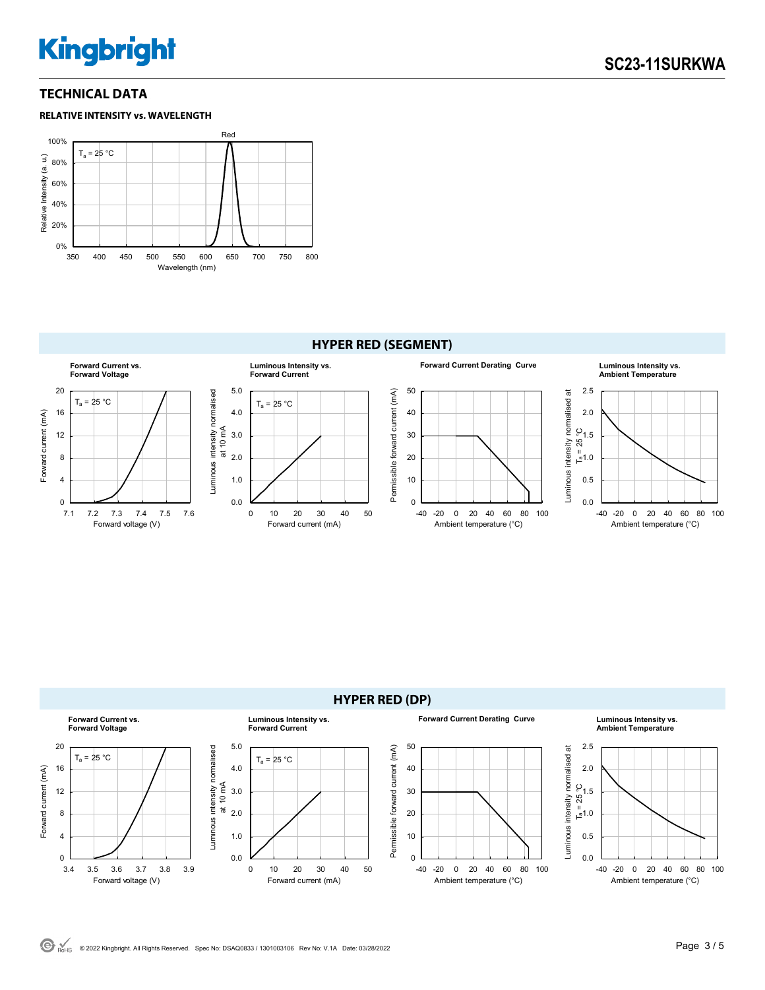#### **TECHNICAL DATA**





#### **HYPER RED (SEGMENT)**



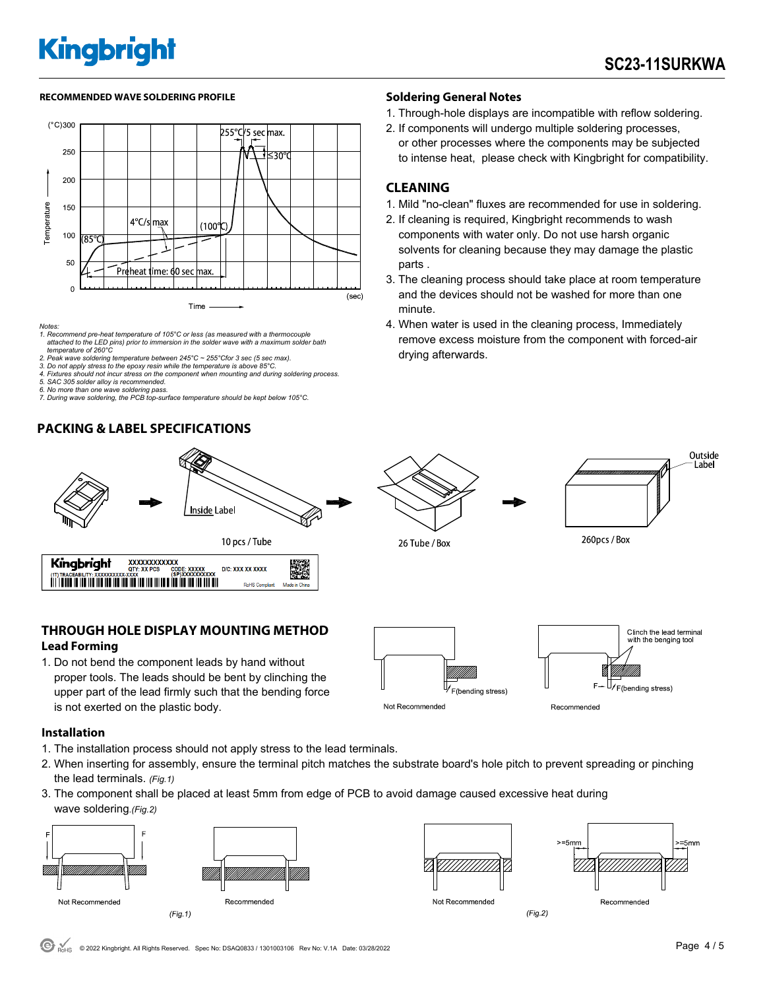#### RECOMMENDED WAVE SOLDERING PROFILE **Soldering General Notes Soldering General Notes**



*Notes:* 

*1. Recommend pre-heat temperature of 105°C or less (as measured with a thermocouple attached to the LED pins) prior to immersion in the solder wave with a maximum solder bath temperature of 260°C* 

- *2. Peak wave soldering temperature between 245°C ~ 255°Cfor 3 sec (5 sec max). 3. Do not apply stress to the epoxy resin while the temperature is above 85°C.*
- *4. Fixtures should not incur stress on the component when mounting and during soldering process.*
- *5. SAC 305 solder alloy is recommended.*
- *6. No more than one wave soldering pass. 7. During wave soldering, the PCB top-surface temperature should be kept below 105°C.*

#### **PACKING & LABEL SPECIFICATIONS**



- 1. Through-hole displays are incompatible with reflow soldering.
- 2. If components will undergo multiple soldering processes, or other processes where the components may be subjected to intense heat, please check with Kingbright for compatibility.

#### **CLEANING**

- 1. Mild "no-clean" fluxes are recommended for use in soldering.
- 2. If cleaning is required, Kingbright recommends to wash components with water only. Do not use harsh organic solvents for cleaning because they may damage the plastic parts .
- 3. The cleaning process should take place at room temperature and the devices should not be washed for more than one minute.
- 4. When water is used in the cleaning process, Immediately remove excess moisture from the component with forced-air drying afterwards.



1. Do not bend the component leads by hand without proper tools. The leads should be bent by clinching the upper part of the lead firmly such that the bending force is not exerted on the plastic body.



**Installation** 

- 1. The installation process should not apply stress to the lead terminals.
- 2. When inserting for assembly, ensure the terminal pitch matches the substrate board's hole pitch to prevent spreading or pinching the lead terminals. *(Fig.1)*
- 3. The component shall be placed at least 5mm from edge of PCB to avoid damage caused excessive heat during wave soldering.*(Fig.2)*







Recommended

 $(Fig.2)$